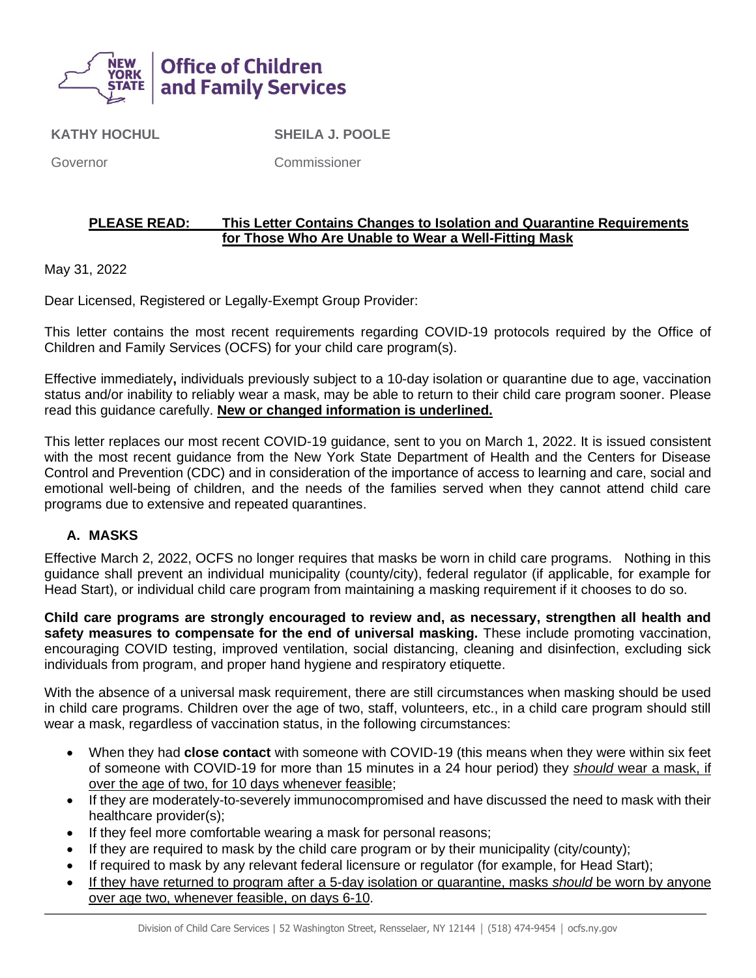

**KATHY HOCHUL**

**SHEILA J. POOLE**

Governor

Commissioner

#### **PLEASE READ: This Letter Contains Changes to Isolation and Quarantine Requirements for Those Who Are Unable to Wear a Well-Fitting Mask**

May 31, 2022

Dear Licensed, Registered or Legally-Exempt Group Provider:

This letter contains the most recent requirements regarding COVID-19 protocols required by the Office of Children and Family Services (OCFS) for your child care program(s).

Effective immediately**,** individuals previously subject to a 10-day isolation or quarantine due to age, vaccination status and/or inability to reliably wear a mask, may be able to return to their child care program sooner. Please read this guidance carefully. **New or changed information is underlined.** 

This letter replaces our most recent COVID-19 guidance, sent to you on March 1, 2022. It is issued consistent with the most recent guidance from the New York State Department of Health and the Centers for Disease Control and Prevention (CDC) and in consideration of the importance of access to learning and care, social and emotional well-being of children, and the needs of the families served when they cannot attend child care programs due to extensive and repeated quarantines.

### **A. MASKS**

Effective March 2, 2022, OCFS no longer requires that masks be worn in child care programs. Nothing in this guidance shall prevent an individual municipality (county/city), federal regulator (if applicable, for example for Head Start), or individual child care program from maintaining a masking requirement if it chooses to do so.

**Child care programs are strongly encouraged to review and, as necessary, strengthen all health and safety measures to compensate for the end of universal masking.** These include promoting vaccination, encouraging COVID testing, improved ventilation, social distancing, cleaning and disinfection, excluding sick individuals from program, and proper hand hygiene and respiratory etiquette.

With the absence of a universal mask requirement, there are still circumstances when masking should be used in child care programs. Children over the age of two, staff, volunteers, etc., in a child care program should still wear a mask, regardless of vaccination status, in the following circumstances:

- When they had **close contact** with someone with COVID-19 (this means when they were within six feet of someone with COVID-19 for more than 15 minutes in a 24 hour period) they *should* wear a mask, if over the age of two, for 10 days whenever feasible;
- If they are moderately-to-severely immunocompromised and have discussed the need to mask with their healthcare provider(s);
- If they feel more comfortable wearing a mask for personal reasons;
- If they are required to mask by the child care program or by their municipality (city/county);
- If required to mask by any relevant federal licensure or regulator (for example, for Head Start);
- If they have returned to program after a 5-day isolation or quarantine, masks *should* be worn by anyone over age two, whenever feasible, on days 6-10.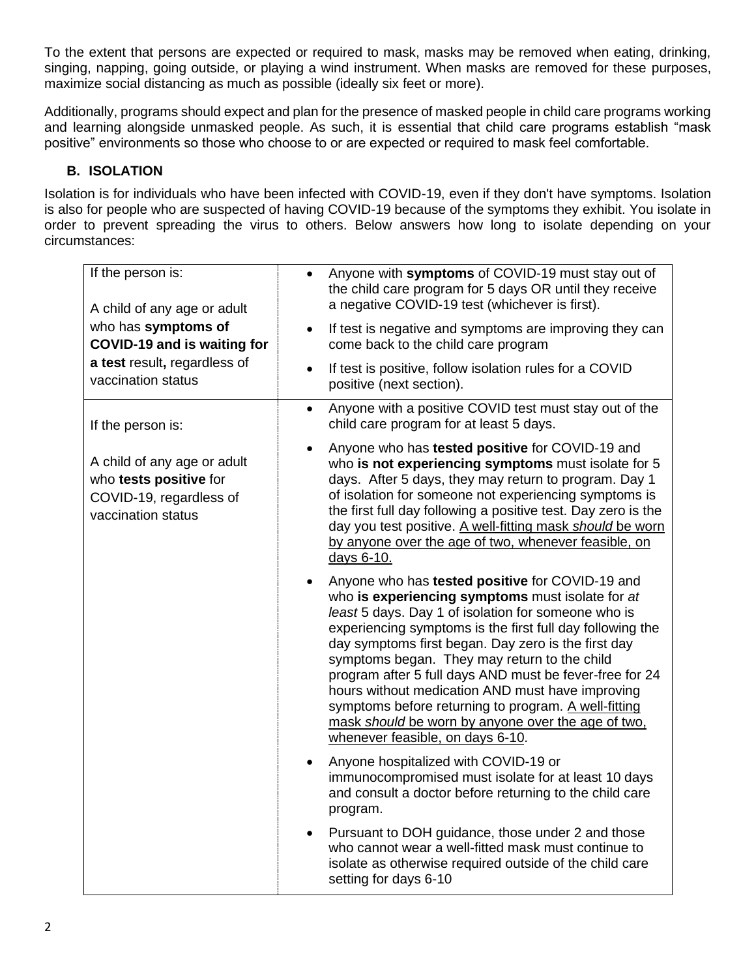To the extent that persons are expected or required to mask, masks may be removed when eating, drinking, singing, napping, going outside, or playing a wind instrument. When masks are removed for these purposes, maximize social distancing as much as possible (ideally six feet or more).

Additionally, programs should expect and plan for the presence of masked people in child care programs working and learning alongside unmasked people. As such, it is essential that child care programs establish "mask positive" environments so those who choose to or are expected or required to mask feel comfortable.

## **B. ISOLATION**

Isolation is for individuals who have been infected with COVID-19, even if they don't have symptoms. Isolation is also for people who are suspected of having COVID-19 because of the symptoms they exhibit. You isolate in order to prevent spreading the virus to others. Below answers how long to isolate depending on your circumstances:

| If the person is:<br>A child of any age or adult                                                         | Anyone with symptoms of COVID-19 must stay out of<br>$\bullet$<br>the child care program for 5 days OR until they receive<br>a negative COVID-19 test (whichever is first).                                                                                                                                                                                                                                                                                                                                                                                                                     |
|----------------------------------------------------------------------------------------------------------|-------------------------------------------------------------------------------------------------------------------------------------------------------------------------------------------------------------------------------------------------------------------------------------------------------------------------------------------------------------------------------------------------------------------------------------------------------------------------------------------------------------------------------------------------------------------------------------------------|
| who has symptoms of<br>COVID-19 and is waiting for<br>a test result, regardless of<br>vaccination status | If test is negative and symptoms are improving they can<br>come back to the child care program                                                                                                                                                                                                                                                                                                                                                                                                                                                                                                  |
|                                                                                                          | If test is positive, follow isolation rules for a COVID<br>$\bullet$<br>positive (next section).                                                                                                                                                                                                                                                                                                                                                                                                                                                                                                |
| If the person is:                                                                                        | Anyone with a positive COVID test must stay out of the<br>$\bullet$<br>child care program for at least 5 days.                                                                                                                                                                                                                                                                                                                                                                                                                                                                                  |
| A child of any age or adult<br>who tests positive for<br>COVID-19, regardless of<br>vaccination status   | Anyone who has tested positive for COVID-19 and<br>who is not experiencing symptoms must isolate for 5<br>days. After 5 days, they may return to program. Day 1<br>of isolation for someone not experiencing symptoms is<br>the first full day following a positive test. Day zero is the<br>day you test positive. A well-fitting mask should be worn<br>by anyone over the age of two, whenever feasible, on<br>days 6-10.                                                                                                                                                                    |
|                                                                                                          | Anyone who has tested positive for COVID-19 and<br>who is experiencing symptoms must isolate for at<br>least 5 days. Day 1 of isolation for someone who is<br>experiencing symptoms is the first full day following the<br>day symptoms first began. Day zero is the first day<br>symptoms began. They may return to the child<br>program after 5 full days AND must be fever-free for 24<br>hours without medication AND must have improving<br>symptoms before returning to program. A well-fitting<br>mask should be worn by anyone over the age of two.<br>whenever feasible, on days 6-10. |
|                                                                                                          | Anyone hospitalized with COVID-19 or<br>immunocompromised must isolate for at least 10 days<br>and consult a doctor before returning to the child care<br>program.                                                                                                                                                                                                                                                                                                                                                                                                                              |
|                                                                                                          | Pursuant to DOH guidance, those under 2 and those<br>who cannot wear a well-fitted mask must continue to<br>isolate as otherwise required outside of the child care<br>setting for days 6-10                                                                                                                                                                                                                                                                                                                                                                                                    |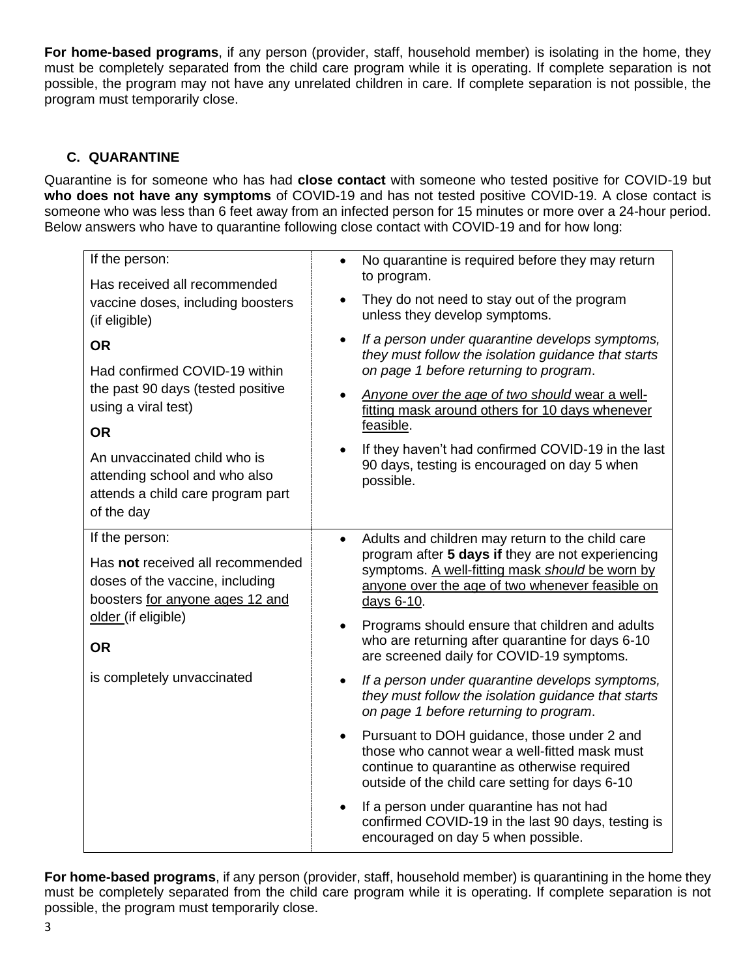**For home-based programs**, if any person (provider, staff, household member) is isolating in the home, they must be completely separated from the child care program while it is operating. If complete separation is not possible, the program may not have any unrelated children in care. If complete separation is not possible, the program must temporarily close.

# **C. QUARANTINE**

Quarantine is for someone who has had **close contact** with someone who tested positive for COVID-19 but **who does not have any symptoms** of COVID-19 and has not tested positive COVID-19. A close contact is someone who was less than 6 feet away from an infected person for 15 minutes or more over a 24-hour period. Below answers who have to quarantine following close contact with COVID-19 and for how long:

| If the person:                                                                                                                                                                                                                          | No quarantine is required before they may return<br>$\bullet$                                                                                                                                                                                                                                                                                                                                      |
|-----------------------------------------------------------------------------------------------------------------------------------------------------------------------------------------------------------------------------------------|----------------------------------------------------------------------------------------------------------------------------------------------------------------------------------------------------------------------------------------------------------------------------------------------------------------------------------------------------------------------------------------------------|
| Has received all recommended<br>vaccine doses, including boosters<br>(if eligible)                                                                                                                                                      | to program.<br>They do not need to stay out of the program<br>unless they develop symptoms.                                                                                                                                                                                                                                                                                                        |
| <b>OR</b><br>Had confirmed COVID-19 within<br>the past 90 days (tested positive<br>using a viral test)<br><b>OR</b><br>An unvaccinated child who is<br>attending school and who also<br>attends a child care program part<br>of the day | If a person under quarantine develops symptoms,<br>$\bullet$<br>they must follow the isolation guidance that starts<br>on page 1 before returning to program.<br>Anyone over the age of two should wear a well-<br>fitting mask around others for 10 days whenever<br>feasible.<br>If they haven't had confirmed COVID-19 in the last<br>90 days, testing is encouraged on day 5 when<br>possible. |
| If the person:<br>Has not received all recommended<br>doses of the vaccine, including<br>boosters for anyone ages 12 and<br>older (if eligible)<br><b>OR</b>                                                                            | Adults and children may return to the child care<br>$\bullet$<br>program after 5 days if they are not experiencing<br>symptoms. A well-fitting mask should be worn by<br>anyone over the age of two whenever feasible on<br>days 6-10.<br>Programs should ensure that children and adults<br>who are returning after quarantine for days 6-10<br>are screened daily for COVID-19 symptoms.         |
| is completely unvaccinated                                                                                                                                                                                                              | If a person under quarantine develops symptoms,<br>they must follow the isolation guidance that starts<br>on page 1 before returning to program.<br>Pursuant to DOH guidance, those under 2 and<br>those who cannot wear a well-fitted mask must<br>continue to quarantine as otherwise required<br>outside of the child care setting for days 6-10                                                |
|                                                                                                                                                                                                                                         | If a person under quarantine has not had<br>confirmed COVID-19 in the last 90 days, testing is<br>encouraged on day 5 when possible.                                                                                                                                                                                                                                                               |

**For home-based programs**, if any person (provider, staff, household member) is quarantining in the home they must be completely separated from the child care program while it is operating. If complete separation is not possible, the program must temporarily close.